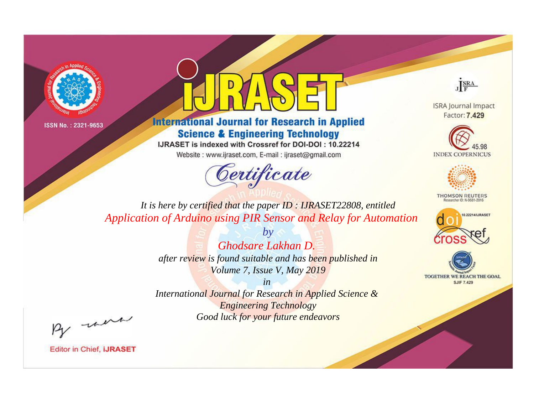



**International Journal for Research in Applied Science & Engineering Technology** 

IJRASET is indexed with Crossref for DOI-DOI: 10.22214

Website: www.ijraset.com, E-mail: ijraset@gmail.com



JERA

**ISRA Journal Impact** Factor: 7.429





**THOMSON REUTERS** 



TOGETHER WE REACH THE GOAL **SJIF 7.429** 

*It is here by certified that the paper ID : IJRASET22808, entitled Application of Arduino using PIR Sensor and Relay for Automation*

> *by Ghodsare Lakhan D. after review is found suitable and has been published in Volume 7, Issue V, May 2019*

> > *in*

*International Journal for Research in Applied Science & Engineering Technology Good luck for your future endeavors*

By morn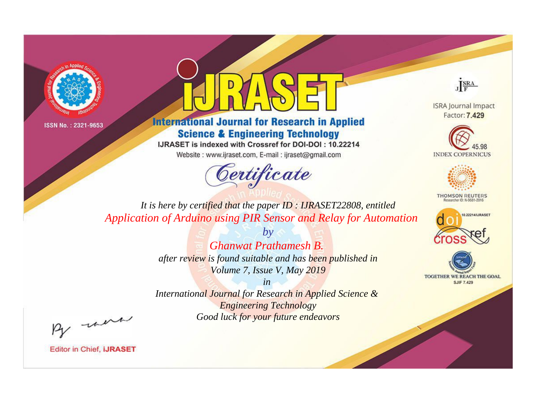



**International Journal for Research in Applied Science & Engineering Technology** 

IJRASET is indexed with Crossref for DOI-DOI: 10.22214

Website: www.ijraset.com, E-mail: ijraset@gmail.com



JERA

**ISRA Journal Impact** Factor: 7.429





**THOMSON REUTERS** 



TOGETHER WE REACH THE GOAL **SJIF 7.429** 

It is here by certified that the paper ID: IJRASET22808, entitled Application of Arduino using PIR Sensor and Relay for Automation

> **Ghanwat Prathamesh B.** after review is found suitable and has been published in Volume 7, Issue V, May 2019

 $b\nu$ 

 $in$ International Journal for Research in Applied Science & **Engineering Technology** Good luck for your future endeavors

By morn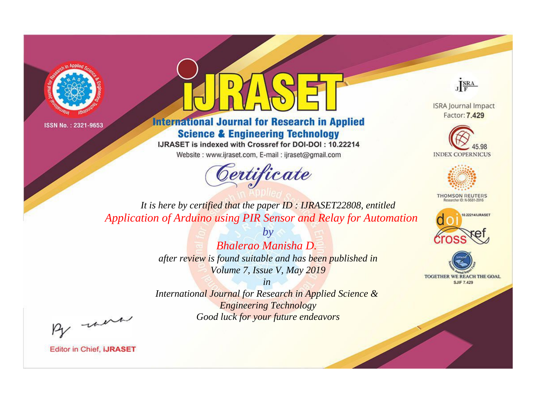



**International Journal for Research in Applied Science & Engineering Technology** 

IJRASET is indexed with Crossref for DOI-DOI: 10.22214

Website: www.ijraset.com, E-mail: ijraset@gmail.com



JERA

**ISRA Journal Impact** Factor: 7.429





**THOMSON REUTERS** 



TOGETHER WE REACH THE GOAL **SJIF 7.429** 

*It is here by certified that the paper ID : IJRASET22808, entitled Application of Arduino using PIR Sensor and Relay for Automation*

> *Bhalerao Manisha D. after review is found suitable and has been published in Volume 7, Issue V, May 2019*

*by*

*in* 

*International Journal for Research in Applied Science & Engineering Technology Good luck for your future endeavors*

By morn